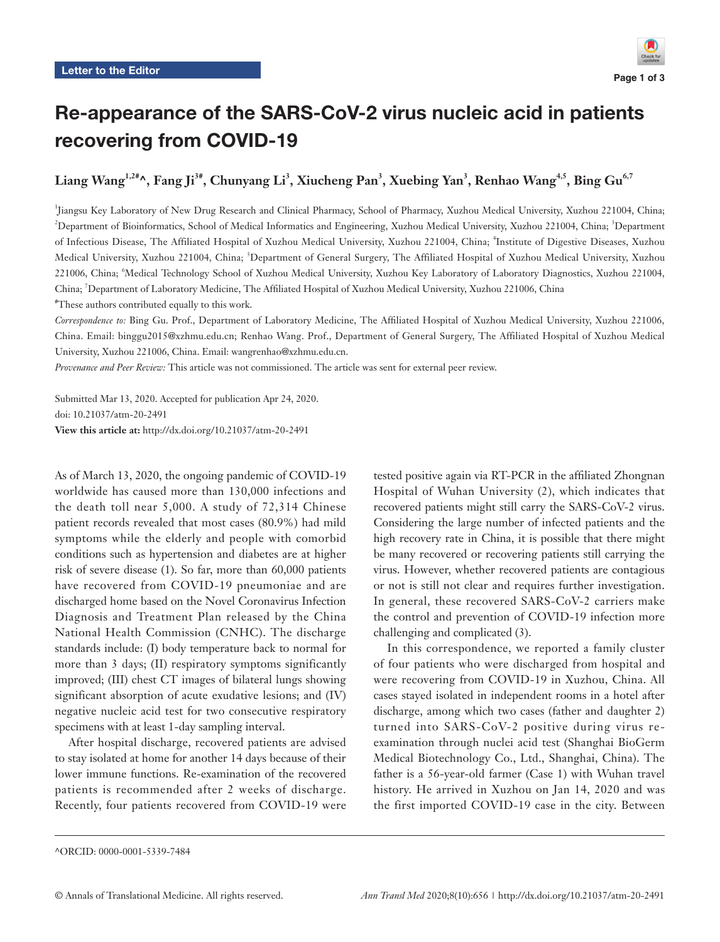## Re-appearance of the SARS-CoV-2 virus nucleic acid in patients recovering from COVID-19

**Liang Wang1,2#^, Fang Ji3#, Chunyang Li3 , Xiucheng Pan3 , Xuebing Yan3 , Renhao Wang4,5, Bing Gu6,7**

1 Jiangsu Key Laboratory of New Drug Research and Clinical Pharmacy, School of Pharmacy, Xuzhou Medical University, Xuzhou 221004, China; <sup>2</sup>Department of Bioinformatics, School of Medical Informatics and Engineering, Xuzhou Medical University, Xuzhou 221004, China; <sup>3</sup>Department of Infectious Disease, The Affiliated Hospital of Xuzhou Medical University, Xuzhou 221004, China; <sup>4</sup>Institute of Digestive Diseases, Xuzhou Medical University, Xuzhou 221004, China; <sup>5</sup>Department of General Surgery, The Affiliated Hospital of Xuzhou Medical University, Xuzhou 221006, China; <sup>6</sup> Medical Technology School of Xuzhou Medical University, Xuzhou Key Laboratory of Laboratory Diagnostics, Xuzhou 221004, China; 7 Department of Laboratory Medicine, The Affiliated Hospital of Xuzhou Medical University, Xuzhou 221006, China # These authors contributed equally to this work.

*Correspondence to:* Bing Gu. Prof., Department of Laboratory Medicine, The Affiliated Hospital of Xuzhou Medical University, Xuzhou 221006, China. Email: binggu2015@xzhmu.edu.cn; Renhao Wang. Prof., Department of General Surgery, The Affiliated Hospital of Xuzhou Medical University, Xuzhou 221006, China. Email: wangrenhao@xzhmu.edu.cn.

*Provenance and Peer Review:* This article was not commissioned. The article was sent for external peer review.

Submitted Mar 13, 2020. Accepted for publication Apr 24, 2020. doi: 10.21037/atm-20-2491 **View this article at:** http://dx.doi.org/10.21037/atm-20-2491

As of March 13, 2020, the ongoing pandemic of COVID-19 worldwide has caused more than 130,000 infections and the death toll near 5,000. A study of 72,314 Chinese patient records revealed that most cases (80.9%) had mild symptoms while the elderly and people with comorbid conditions such as hypertension and diabetes are at higher risk of severe disease (1). So far, more than 60,000 patients have recovered from COVID-19 pneumoniae and are discharged home based on the Novel Coronavirus Infection Diagnosis and Treatment Plan released by the China National Health Commission (CNHC). The discharge standards include: (I) body temperature back to normal for more than 3 days; (II) respiratory symptoms significantly improved; (III) chest CT images of bilateral lungs showing significant absorption of acute exudative lesions; and (IV) negative nucleic acid test for two consecutive respiratory specimens with at least 1-day sampling interval.

After hospital discharge, recovered patients are advised to stay isolated at home for another 14 days because of their lower immune functions. Re-examination of the recovered patients is recommended after 2 weeks of discharge. Recently, four patients recovered from COVID-19 were

tested positive again via RT-PCR in the affiliated Zhongnan Hospital of Wuhan University (2), which indicates that recovered patients might still carry the SARS-CoV-2 virus. Considering the large number of infected patients and the high recovery rate in China, it is possible that there might be many recovered or recovering patients still carrying the virus. However, whether recovered patients are contagious or not is still not clear and requires further investigation. In general, these recovered SARS-CoV-2 carriers make the control and prevention of COVID-19 infection more challenging and complicated (3).

In this correspondence, we reported a family cluster of four patients who were discharged from hospital and were recovering from COVID-19 in Xuzhou, China. All cases stayed isolated in independent rooms in a hotel after discharge, among which two cases (father and daughter 2) turned into SARS-CoV-2 positive during virus reexamination through nuclei acid test (Shanghai BioGerm Medical Biotechnology Co., Ltd., Shanghai, China). The father is a 56-year-old farmer (Case 1) with Wuhan travel history. He arrived in Xuzhou on Jan 14, 2020 and was the first imported COVID-19 case in the city. Between

<sup>^</sup>ORCID: 0000-0001-5339-7484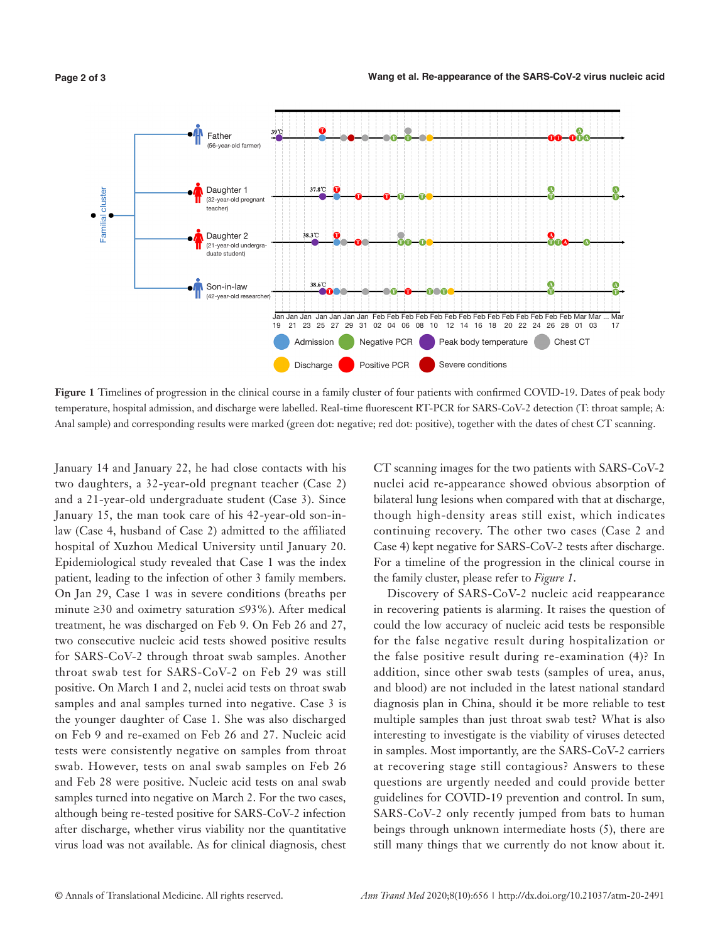

**Figure 1** Timelines of progression in the clinical course in a family cluster of four patients with confirmed COVID-19. Dates of peak body temperature, hospital admission, and discharge were labelled. Real-time fluorescent RT-PCR for SARS-CoV-2 detection (T: throat sample; A:

January 14 and January 22, he had close contacts with his two daughters, a 32-year-old pregnant teacher (Case 2) and a 21-year-old undergraduate student (Case 3). Since January 15, the man took care of his 42-year-old son-inlaw (Case 4, husband of Case 2) admitted to the affiliated hospital of Xuzhou Medical University until January 20. Epidemiological study revealed that Case 1 was the index patient, leading to the infection of other 3 family members. On Jan 29, Case 1 was in severe conditions (breaths per minute ≥30 and oximetry saturation ≤93%). After medical treatment, he was discharged on Feb 9. On Feb 26 and 27, two consecutive nucleic acid tests showed positive results for SARS-CoV-2 through throat swab samples. Another throat swab test for SARS-CoV-2 on Feb 29 was still positive. On March 1 and 2, nuclei acid tests on throat swab samples and anal samples turned into negative. Case 3 is the younger daughter of Case 1. She was also discharged on Feb 9 and re-examed on Feb 26 and 27. Nucleic acid tests were consistently negative on samples from throat swab. However, tests on anal swab samples on Feb 26 and Feb 28 were positive. Nucleic acid tests on anal swab samples turned into negative on March 2. For the two cases, although being re-tested positive for SARS-CoV-2 infection after discharge, whether virus viability nor the quantitative virus load was not available. As for clinical diagnosis, chest

CT scanning images for the two patients with SARS-CoV-2 nuclei acid re-appearance showed obvious absorption of bilateral lung lesions when compared with that at discharge, though high-density areas still exist, which indicates continuing recovery. The other two cases (Case 2 and Case 4) kept negative for SARS-CoV-2 tests after discharge. For a timeline of the progression in the clinical course in the family cluster, please refer to *Figure 1*.

Discovery of SARS-CoV-2 nucleic acid reappearance in recovering patients is alarming. It raises the question of could the low accuracy of nucleic acid tests be responsible for the false negative result during hospitalization or the false positive result during re-examination (4)? In addition, since other swab tests (samples of urea, anus, and blood) are not included in the latest national standard diagnosis plan in China, should it be more reliable to test multiple samples than just throat swab test? What is also interesting to investigate is the viability of viruses detected in samples. Most importantly, are the SARS-CoV-2 carriers at recovering stage still contagious? Answers to these questions are urgently needed and could provide better guidelines for COVID-19 prevention and control. In sum, SARS-CoV-2 only recently jumped from bats to human beings through unknown intermediate hosts (5), there are still many things that we currently do not know about it.